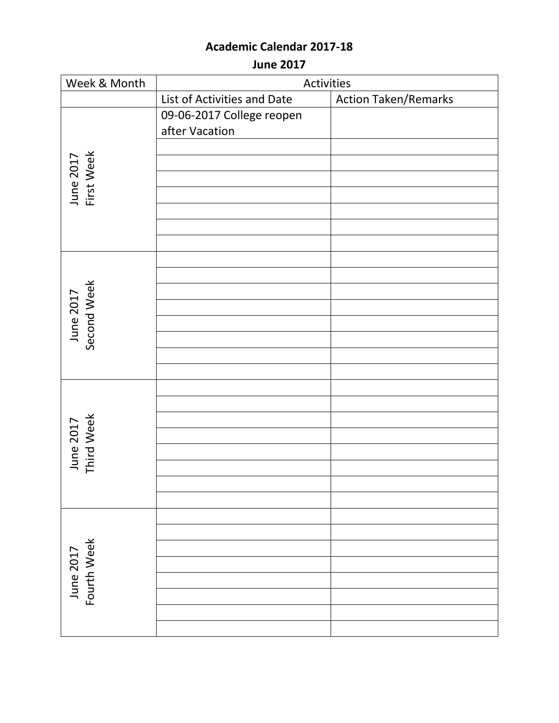**June 2017**

| Week & Month             | Activities                  |                             |
|--------------------------|-----------------------------|-----------------------------|
|                          | List of Activities and Date | <b>Action Taken/Remarks</b> |
|                          | 09-06-2017 College reopen   |                             |
|                          | after Vacation              |                             |
|                          |                             |                             |
| June 2017<br>First Week  |                             |                             |
|                          |                             |                             |
|                          |                             |                             |
|                          |                             |                             |
|                          |                             |                             |
|                          |                             |                             |
|                          |                             |                             |
|                          |                             |                             |
| June 2017<br>Second Week |                             |                             |
|                          |                             |                             |
|                          |                             |                             |
|                          |                             |                             |
|                          |                             |                             |
|                          |                             |                             |
|                          |                             |                             |
|                          |                             |                             |
| June 2017<br>Third Week  |                             |                             |
|                          |                             |                             |
|                          |                             |                             |
|                          |                             |                             |
|                          |                             |                             |
|                          |                             |                             |
|                          |                             |                             |
| Fourth Week<br>June 2017 |                             |                             |
|                          |                             |                             |
|                          |                             |                             |
|                          |                             |                             |
|                          |                             |                             |
|                          |                             |                             |
|                          |                             |                             |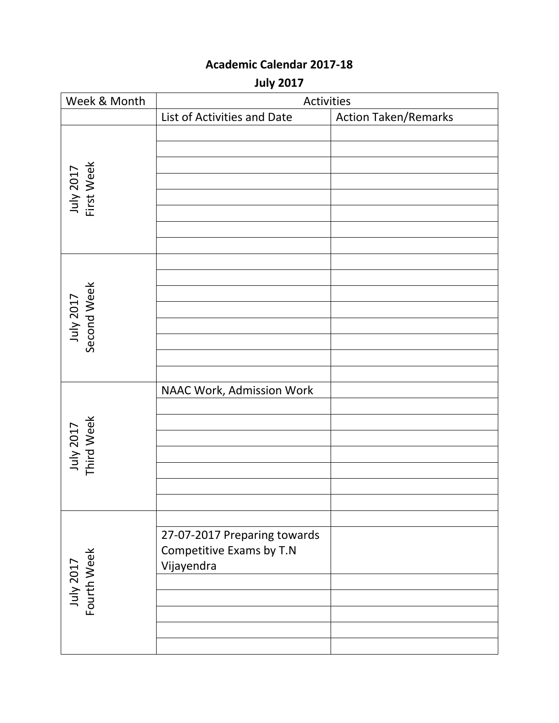**July 2017**

| Week & Month             | Activities                                                             |                             |
|--------------------------|------------------------------------------------------------------------|-----------------------------|
|                          | List of Activities and Date                                            | <b>Action Taken/Remarks</b> |
| July 2017<br>First Week  |                                                                        |                             |
| July 2017<br>Second Week |                                                                        |                             |
| July 2017<br>Third Week  | NAAC Work, Admission Work                                              |                             |
| July 2017<br>Fourth Week | 27-07-2017 Preparing towards<br>Competitive Exams by T.N<br>Vijayendra |                             |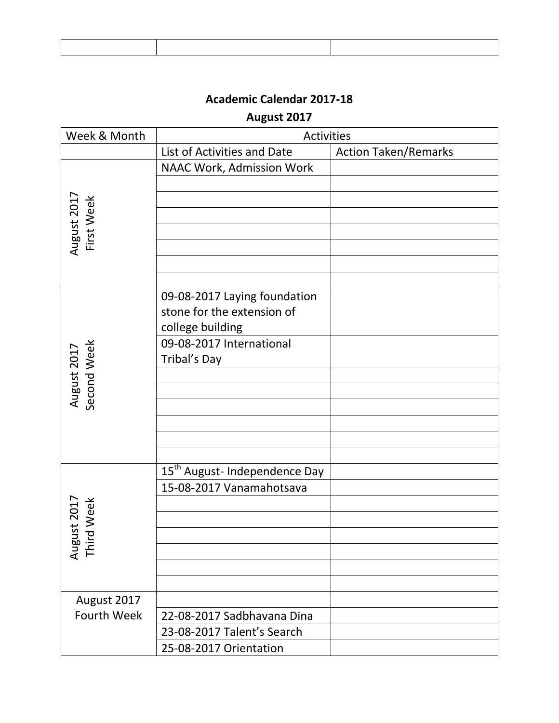## **August 2017**

| Week & Month               | Activities                                                                     |                             |
|----------------------------|--------------------------------------------------------------------------------|-----------------------------|
|                            | List of Activities and Date                                                    | <b>Action Taken/Remarks</b> |
|                            | NAAC Work, Admission Work                                                      |                             |
| August 2017<br>First Week  |                                                                                |                             |
|                            |                                                                                |                             |
|                            |                                                                                |                             |
|                            |                                                                                |                             |
|                            | 09-08-2017 Laying foundation<br>stone for the extension of<br>college building |                             |
| August 2017<br>Second Week | 09-08-2017 International<br>Tribal's Day                                       |                             |
|                            |                                                                                |                             |
|                            |                                                                                |                             |
|                            |                                                                                |                             |
|                            |                                                                                |                             |
|                            |                                                                                |                             |
|                            | 15 <sup>th</sup> August- Independence Day<br>15-08-2017 Vanamahotsava          |                             |
|                            |                                                                                |                             |
| ust 2017<br>d Week         |                                                                                |                             |
|                            |                                                                                |                             |
| Augu<br>Thir               |                                                                                |                             |
|                            |                                                                                |                             |
| August 2017                |                                                                                |                             |
| <b>Fourth Week</b>         | 22-08-2017 Sadbhavana Dina                                                     |                             |
|                            | 23-08-2017 Talent's Search                                                     |                             |
|                            | 25-08-2017 Orientation                                                         |                             |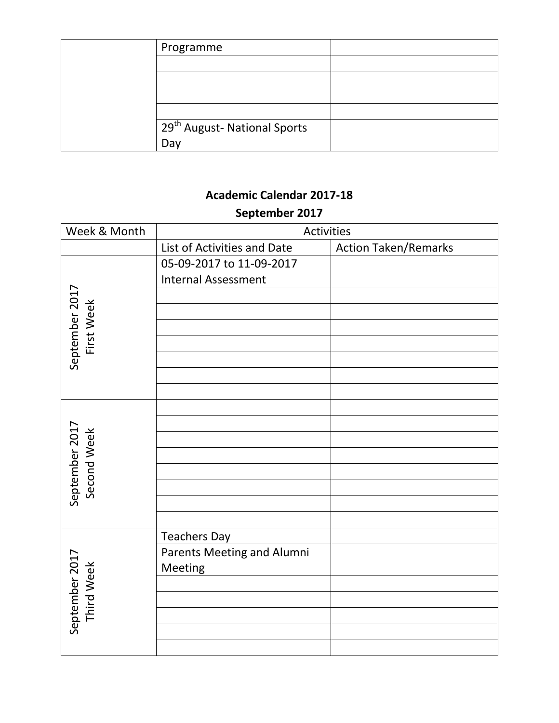| Programme                                |  |
|------------------------------------------|--|
|                                          |  |
|                                          |  |
|                                          |  |
|                                          |  |
| 29 <sup>th</sup> August- National Sports |  |
| Day                                      |  |

# **Academic Calendar 2017-18 September 2017**

| Week & Month                  | Activities                  |                             |
|-------------------------------|-----------------------------|-----------------------------|
|                               | List of Activities and Date | <b>Action Taken/Remarks</b> |
|                               | 05-09-2017 to 11-09-2017    |                             |
|                               | <b>Internal Assessment</b>  |                             |
|                               |                             |                             |
| September 2017<br>First Week  |                             |                             |
|                               |                             |                             |
|                               |                             |                             |
|                               |                             |                             |
|                               |                             |                             |
|                               |                             |                             |
|                               |                             |                             |
|                               |                             |                             |
| September 2017<br>Second Week |                             |                             |
|                               |                             |                             |
|                               |                             |                             |
|                               |                             |                             |
|                               |                             |                             |
|                               |                             |                             |
|                               | <b>Teachers Day</b>         |                             |
|                               | Parents Meeting and Alumni  |                             |
| September 2017<br>Third Week  | Meeting                     |                             |
|                               |                             |                             |
|                               |                             |                             |
|                               |                             |                             |
|                               |                             |                             |
|                               |                             |                             |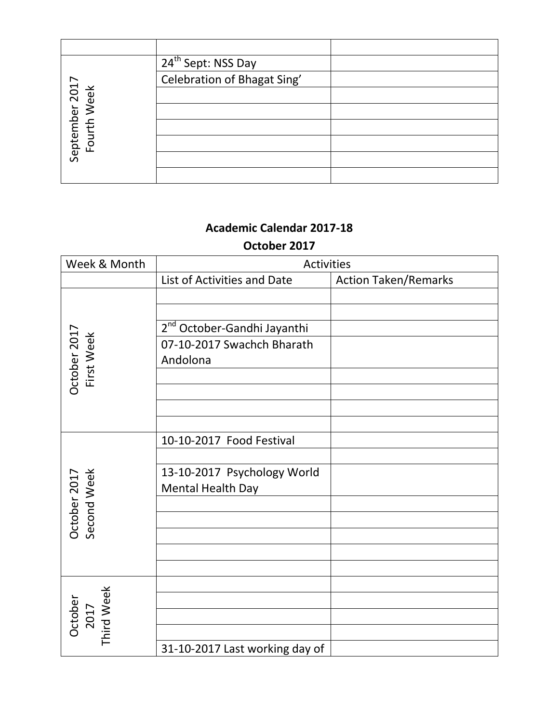|                               | 24 <sup>th</sup> Sept: NSS Day |  |
|-------------------------------|--------------------------------|--|
|                               | Celebration of Bhagat Sing'    |  |
|                               |                                |  |
| September 2017<br>Fourth Week |                                |  |
|                               |                                |  |
|                               |                                |  |
|                               |                                |  |
|                               |                                |  |

## **Academic Calendar 2017-18 October 2017**

| Week & Month                  | <b>Activities</b>                       |                             |
|-------------------------------|-----------------------------------------|-----------------------------|
|                               | List of Activities and Date             | <b>Action Taken/Remarks</b> |
|                               |                                         |                             |
|                               |                                         |                             |
|                               | 2 <sup>nd</sup> October-Gandhi Jayanthi |                             |
|                               | 07-10-2017 Swachch Bharath              |                             |
|                               | Andolona                                |                             |
| October 2017<br>First Week    |                                         |                             |
|                               |                                         |                             |
|                               |                                         |                             |
|                               |                                         |                             |
|                               | 10-10-2017 Food Festival                |                             |
|                               |                                         |                             |
| Second Week<br>October 2017   | 13-10-2017 Psychology World             |                             |
|                               | Mental Health Day                       |                             |
|                               |                                         |                             |
|                               |                                         |                             |
|                               |                                         |                             |
|                               |                                         |                             |
|                               |                                         |                             |
| October<br>2017<br>Third Week |                                         |                             |
|                               |                                         |                             |
|                               |                                         |                             |
|                               | 31-10-2017 Last working day of          |                             |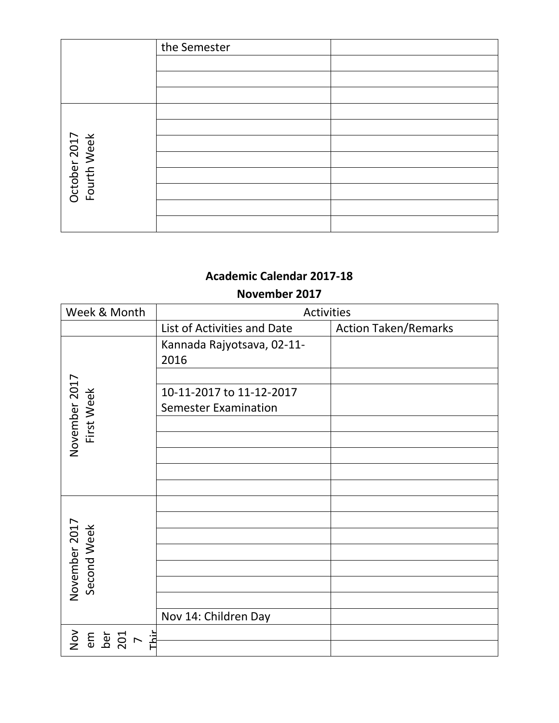|                             | the Semester |  |
|-----------------------------|--------------|--|
|                             |              |  |
|                             |              |  |
|                             |              |  |
|                             |              |  |
|                             |              |  |
| October 2017<br>Fourth Week |              |  |
|                             |              |  |
|                             |              |  |
|                             |              |  |
|                             |              |  |
|                             |              |  |

#### November 2017

| Week & Month                         | Activities                         |                             |
|--------------------------------------|------------------------------------|-----------------------------|
|                                      | List of Activities and Date        | <b>Action Taken/Remarks</b> |
|                                      | Kannada Rajyotsava, 02-11-<br>2016 |                             |
|                                      |                                    |                             |
|                                      | 10-11-2017 to 11-12-2017           |                             |
|                                      | <b>Semester Examination</b>        |                             |
| First Week                           |                                    |                             |
| November 2017                        |                                    |                             |
|                                      |                                    |                             |
|                                      |                                    |                             |
|                                      |                                    |                             |
|                                      |                                    |                             |
|                                      |                                    |                             |
|                                      |                                    |                             |
| November 2017<br>Second Week         |                                    |                             |
|                                      |                                    |                             |
|                                      |                                    |                             |
|                                      |                                    |                             |
|                                      | Nov 14: Children Day               |                             |
|                                      |                                    |                             |
| $\sum_{i=1}^{n}$<br>em<br>ber<br>201 |                                    |                             |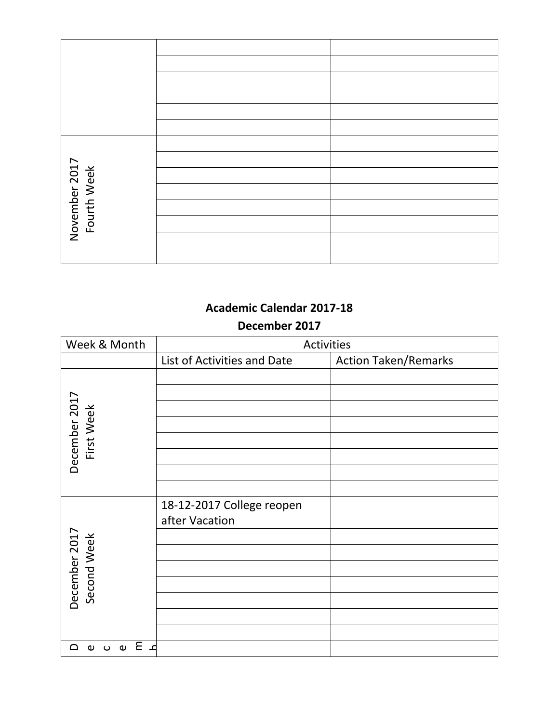| November 2017<br>Fourth Week |  |
|------------------------------|--|
|                              |  |
|                              |  |
|                              |  |
|                              |  |
|                              |  |

#### **December 2017**

| Week & Month                                  | Activities                  |                             |
|-----------------------------------------------|-----------------------------|-----------------------------|
|                                               | List of Activities and Date | <b>Action Taken/Remarks</b> |
|                                               |                             |                             |
|                                               |                             |                             |
|                                               |                             |                             |
|                                               |                             |                             |
| First Week                                    |                             |                             |
| December 2017                                 |                             |                             |
|                                               |                             |                             |
|                                               |                             |                             |
|                                               | 18-12-2017 College reopen   |                             |
|                                               | after Vacation              |                             |
|                                               |                             |                             |
| December 2017<br>Second Week                  |                             |                             |
|                                               |                             |                             |
|                                               |                             |                             |
|                                               |                             |                             |
|                                               |                             |                             |
|                                               |                             |                             |
| ء E<br>$\cup$ $\cup$<br>≏<br>$\mathbf \omega$ |                             |                             |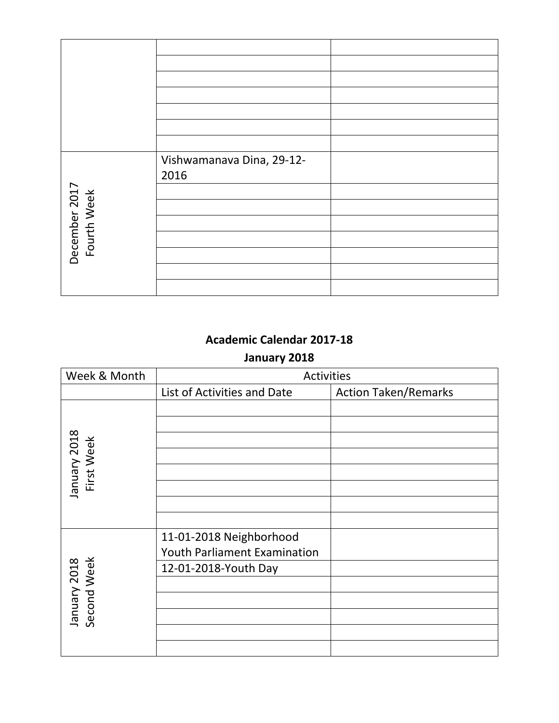|                              | Vishwamanava Dina, 29-12- |  |
|------------------------------|---------------------------|--|
|                              | 2016                      |  |
| December 2017<br>Fourth Week |                           |  |
|                              |                           |  |

## **January 2018**

| Week & Month                | <b>Activities</b>                   |                             |
|-----------------------------|-------------------------------------|-----------------------------|
|                             | List of Activities and Date         | <b>Action Taken/Remarks</b> |
|                             |                                     |                             |
|                             |                                     |                             |
| January 2018<br>First Week  |                                     |                             |
|                             |                                     |                             |
|                             |                                     |                             |
|                             |                                     |                             |
|                             |                                     |                             |
|                             |                                     |                             |
|                             | 11-01-2018 Neighborhood             |                             |
|                             | <b>Youth Parliament Examination</b> |                             |
|                             | 12-01-2018-Youth Day                |                             |
|                             |                                     |                             |
|                             |                                     |                             |
| January 2018<br>Second Week |                                     |                             |
|                             |                                     |                             |
|                             |                                     |                             |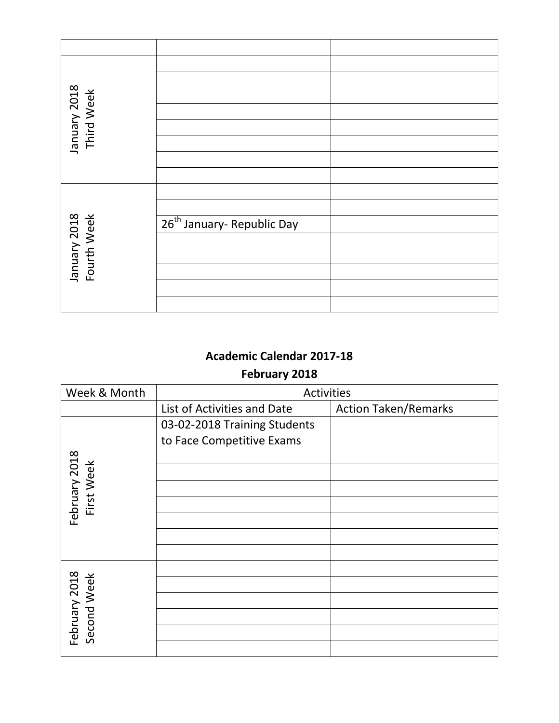| January 2018<br>Third Week  |                                        |  |
|-----------------------------|----------------------------------------|--|
|                             |                                        |  |
|                             |                                        |  |
|                             |                                        |  |
|                             |                                        |  |
|                             |                                        |  |
| January 2018<br>Fourth Week | 26 <sup>th</sup> January- Republic Day |  |
|                             |                                        |  |
|                             |                                        |  |
|                             |                                        |  |
|                             |                                        |  |
|                             |                                        |  |

## **February 2018**

| Week & Month                 | <b>Activities</b>            |                             |
|------------------------------|------------------------------|-----------------------------|
|                              | List of Activities and Date  | <b>Action Taken/Remarks</b> |
|                              | 03-02-2018 Training Students |                             |
|                              | to Face Competitive Exams    |                             |
|                              |                              |                             |
| February 2018<br>First Week  |                              |                             |
|                              |                              |                             |
|                              |                              |                             |
|                              |                              |                             |
|                              |                              |                             |
|                              |                              |                             |
|                              |                              |                             |
| February 2018<br>Second Week |                              |                             |
|                              |                              |                             |
|                              |                              |                             |
|                              |                              |                             |
|                              |                              |                             |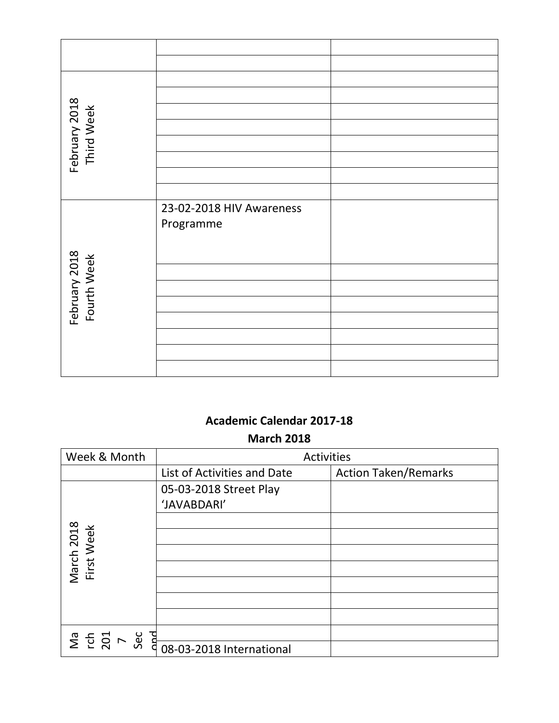| February 2018<br>Third Week  |                          |  |
|------------------------------|--------------------------|--|
|                              |                          |  |
|                              |                          |  |
|                              |                          |  |
|                              |                          |  |
|                              | 23-02-2018 HIV Awareness |  |
|                              | Programme                |  |
|                              |                          |  |
| February 2018<br>Fourth Week |                          |  |
|                              |                          |  |
|                              |                          |  |
|                              |                          |  |
|                              |                          |  |
|                              |                          |  |
|                              |                          |  |

### **Academic Calendar 2017-18 March 2018**

| Week & Month                        | Activities                            |                             |
|-------------------------------------|---------------------------------------|-----------------------------|
|                                     | List of Activities and Date           | <b>Action Taken/Remarks</b> |
|                                     | 05-03-2018 Street Play<br>'JAVABDARI' |                             |
| March 2018<br>First Week            |                                       |                             |
|                                     |                                       |                             |
|                                     |                                       |                             |
|                                     |                                       |                             |
|                                     |                                       |                             |
| <b>Dad</b><br>Sec<br>$207$<br>$707$ |                                       |                             |
|                                     | 08-03-2018 International              |                             |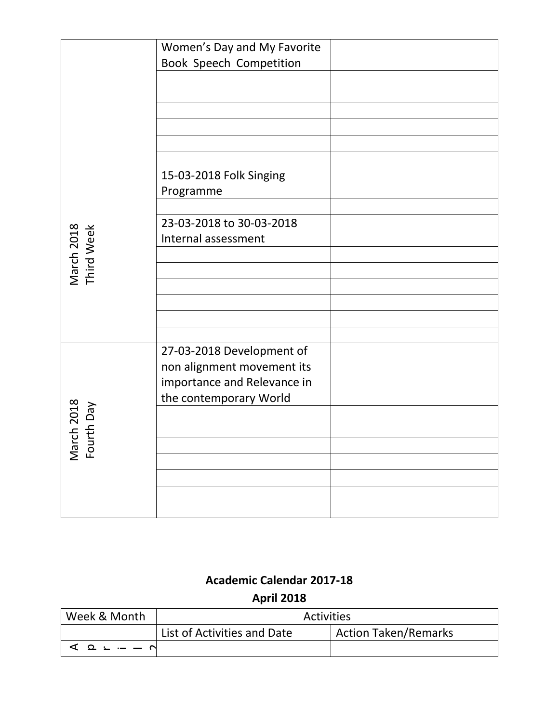|                                 | Women's Day and My Favorite<br>Book Speech Competition                                                           |
|---------------------------------|------------------------------------------------------------------------------------------------------------------|
|                                 |                                                                                                                  |
|                                 |                                                                                                                  |
|                                 |                                                                                                                  |
|                                 | 15-03-2018 Folk Singing<br>Programme                                                                             |
|                                 | 23-03-2018 to 30-03-2018<br>Internal assessment                                                                  |
| March 2018<br>Third Week        |                                                                                                                  |
|                                 |                                                                                                                  |
|                                 |                                                                                                                  |
| rch 2018<br>urth Day<br>eΜ<br>오 | 27-03-2018 Development of<br>non alignment movement its<br>importance and Relevance in<br>the contemporary World |
|                                 |                                                                                                                  |
|                                 |                                                                                                                  |
|                                 |                                                                                                                  |
|                                 |                                                                                                                  |
|                                 |                                                                                                                  |

# **Academic Calendar 2017-18 April 2018**

| Week & Month                                            | Activities                  |                             |
|---------------------------------------------------------|-----------------------------|-----------------------------|
|                                                         | List of Activities and Date | <b>Action Taken/Remarks</b> |
| $\mathcal{L} \Omega - \mathcal{L} \Omega - \mathcal{L}$ |                             |                             |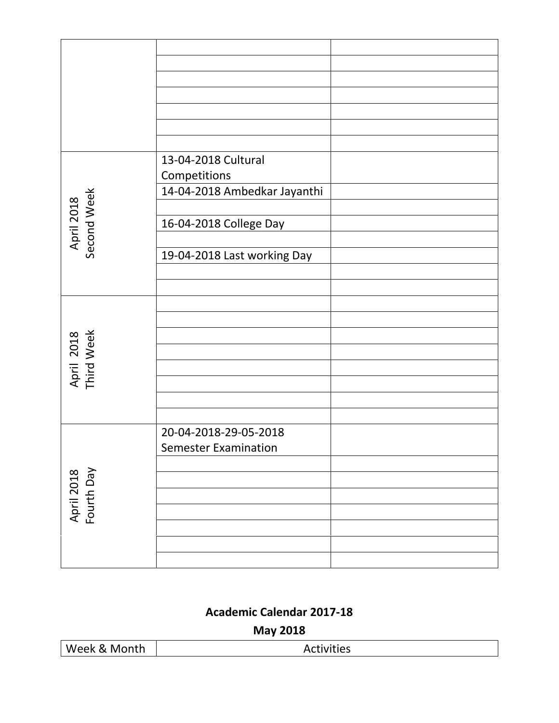|                           | 13-04-2018 Cultural          |  |
|---------------------------|------------------------------|--|
|                           | Competitions                 |  |
|                           | 14-04-2018 Ambedkar Jayanthi |  |
| April 2018<br>Second Week |                              |  |
|                           |                              |  |
|                           | 16-04-2018 College Day       |  |
|                           |                              |  |
|                           | 19-04-2018 Last working Day  |  |
|                           |                              |  |
|                           |                              |  |
|                           |                              |  |
|                           |                              |  |
|                           |                              |  |
| April 2018<br>Third Week  |                              |  |
|                           |                              |  |
|                           |                              |  |
|                           |                              |  |
|                           |                              |  |
|                           | 20-04-2018-29-05-2018        |  |
| April 2018<br>Fourth Day  | <b>Semester Examination</b>  |  |
|                           |                              |  |
|                           |                              |  |
|                           |                              |  |
|                           |                              |  |
|                           |                              |  |
|                           |                              |  |
|                           |                              |  |
|                           |                              |  |

**May 2018**

| Week & Month<br><b>Activities</b> |  |
|-----------------------------------|--|
|-----------------------------------|--|